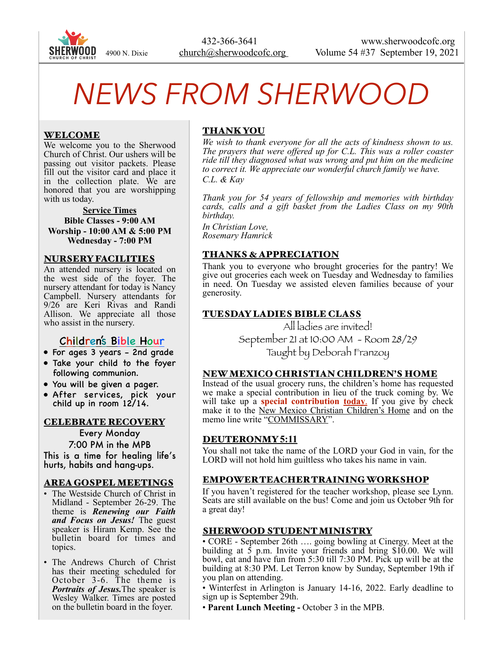

# *NEWS FROM SHERWOOD*

## WELCOME

We welcome you to the Sherwood Church of Christ. Our ushers will be passing out visitor packets. Please fill out the visitor card and place it in the collection plate. We are honored that you are worshipping with us today.

#### **Service Times Bible Classes - 9:00 AM Worship - 10:00 AM & 5:00 PM Wednesday - 7:00 PM**

#### NURSERY FACILITIES

An attended nursery is located on the west side of the foyer. The nursery attendant for today is Nancy Campbell. Nursery attendants for 9/26 are Keri Rivas and Randi Allison. We appreciate all those who assist in the nursery.

## Children's Bible Hour

- For ages 3 years 2nd grade
- Take your child to the foyer following communion.
- You will be given a pager.
- After services, pick your child up in room 12/14.

#### CELEBRATE RECOVERY

Every Monday 7:00 PM in the MPB This is a time for healing life's hurts, habits and hang-ups.

#### AREA GOSPEL MEETINGS

- The Westside Church of Christ in Midland - September 26-29. The theme is *Renewing our Faith and Focus on Jesus!* The guest speaker is Hiram Kemp. See the bulletin board for times and topics.
- • The Andrews Church of Christ has their meeting scheduled for October 3-6. The theme is *Portraits of Jesus.*The speaker is Wesley Walker. Times are posted on the bulletin board in the foyer.

# THANK YOU

*We wish to thank everyone for all the acts of kindness shown to us. The prayers that were offered up for C.L. This was a roller coaster ride till they diagnosed what was wrong and put him on the medicine*  to correct it. We appreciate our wonderful church family we have. *C.L. & Kay* 

*Thank you for 54 years of fellowship and memories with birthday cards, calls and a gift basket from the Ladies Class on my 90th birthday.* 

*In Christian Love, Rosemary Hamrick* 

## THANKS & APPRECIATION

Thank you to everyone who brought groceries for the pantry! We give out groceries each week on Tuesday and Wednesday to families in need. On Tuesday we assisted eleven families because of your generosity.

## TUESDAY LADIES BIBLE CLASS

All ladies are invited! September 21 at 10:00 AM - Room 28/29 Taught by Deborah Franzoy

#### NEW MEXICO CHRISTIAN CHILDREN'S HOME

Instead of the usual grocery runs, the children's home has requested we make a special contribution in lieu of the truck coming by. We will take up a **special contribution today**. If you give by check make it to the New Mexico Christian Children's Home and on the memo line write "COMMISSARY".

#### DEUTERONMY **5:11**

You shall not take the name of the LORD your God in vain, for the LORD will not hold him guiltless who takes his name in vain.

#### EMPOWER TEACHER TRAINING WORKSHOP

If you haven't registered for the teacher workshop, please see Lynn. Seats are still available on the bus! Come and join us October 9th for a great day!

## SHERWOOD STUDENT MINISTRY

• CORE - September 26th …. going bowling at Cinergy. Meet at the building at  $\bar{5}$  p.m. Invite your friends and bring \$10.00. We will bowl, eat and have fun from 5:30 till 7:30 PM. Pick up will be at the building at 8:30 PM. Let Terron know by Sunday, September 19th if you plan on attending.

• Winterfest in Arlington is January 14-16, 2022. Early deadline to sign up is September 29th.

• **Parent Lunch Meeting -** October 3 in the MPB.